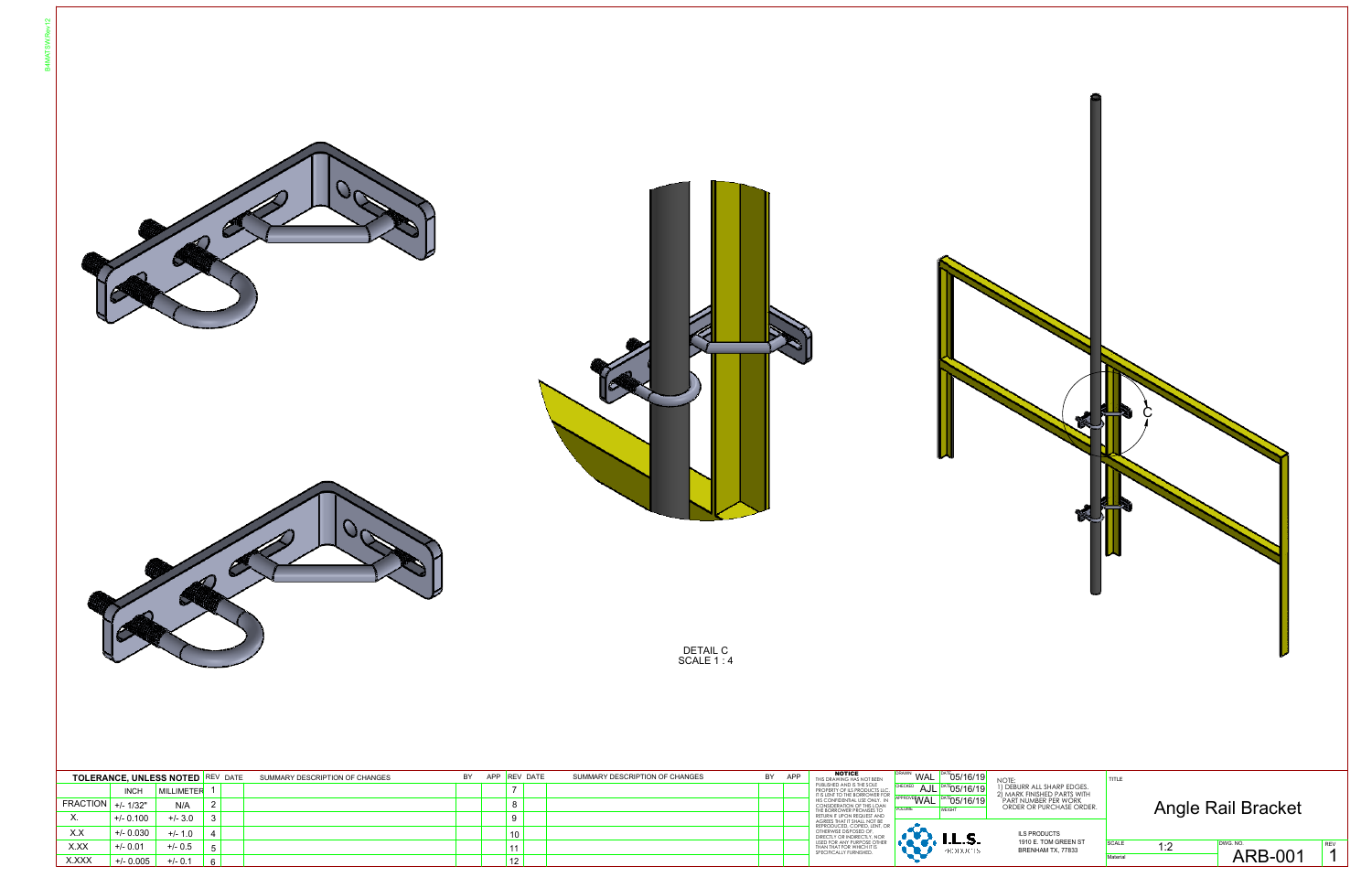





DETAIL C SCALE 1 : 4

| NOTE:<br>1) DEBURR ALL SHARP EDGES.<br>2) MARK FINISHED PARTS WITH<br>PART DO BUIDCHASE ORDE<br>ORDER OR PURCHASE ORDER. | TITLE                           | Angle Rail Bracket         |                 |
|--------------------------------------------------------------------------------------------------------------------------|---------------------------------|----------------------------|-----------------|
| <b>ILS PRODUCTS</b><br>1910 E. TOM GREEN ST<br>BRENHAM TX, 77833                                                         | <b>SCALE</b><br>1:2<br>Material | DWG. NO.<br><b>ARB-001</b> | <b>REV</b><br>1 |

|                       |             | <b>TOLERANCE, UNLESS NOTED REV DATE</b> |   | SUMMARY DESCRIPTION OF CHANGES | BY | APP |         | <b>REV DATE</b> | SUMMARY DESCRIPTION OF CHANGES | BY | APP | <b>NOTICE</b><br>THIS DRAWING HAS NOT BEEN                                                   | <b>DRAWN</b><br>WAL                 | DATE 05/16/19                  |  |
|-----------------------|-------------|-----------------------------------------|---|--------------------------------|----|-----|---------|-----------------|--------------------------------|----|-----|----------------------------------------------------------------------------------------------|-------------------------------------|--------------------------------|--|
|                       | <b>INCH</b> | MILLIMETER                              |   |                                |    |     |         |                 |                                |    |     | PUBLISHED AND IS THE SOLE<br>PROPERTY OF ILS PRODUCTS LLC.<br>IT IS LENT TO THE BORROWER FOR | CHECKED                             | AJL <sup>DATE</sup> 05/16/19   |  |
| $FRAC$ TION +/- 1/32" |             | N/A                                     |   |                                |    |     | $\circ$ |                 |                                |    |     | HIS CONFIDENTIAL USE ONLY. IN<br>CONSIDERATION OF THIS LOAN<br>THE BORROWER PROMISES TO      | <b>IAPPROVEWAL</b><br><b>VOLUME</b> | DATE 05/16/19<br><b>WEIGHT</b> |  |
| Λ.                    | $+/- 0.100$ | $+/- 3.0$                               | 3 |                                |    |     |         |                 |                                |    |     | RETURN IT UPON REQUEST AND<br>AGREES THAT IT SHALL NOT BE                                    |                                     |                                |  |
| X.X                   | $+/- 0.030$ | $+/- 1.0$                               |   |                                |    |     | 10      |                 |                                |    |     | REPRODUCED, COPIED, LENT. OR<br>OTHERWISE DISPOSED OF.<br>DIRECTLY OR INDIRECTLY, NOR        |                                     |                                |  |
| X.XX                  | $+/- 0.01$  | $+/- 0.5$                               |   |                                |    |     |         |                 |                                |    |     | USED FOR ANY PURPOSE OTHER<br>THAN THAT FOR WHICH IT IS<br>SPECIFICALLY FURNISHED.           |                                     | .<br><b>EDDUCTS</b>            |  |
| X.XXX                 | $+/- 0.005$ | $+/- 0.1$                               | 6 |                                |    |     |         |                 |                                |    |     |                                                                                              |                                     |                                |  |